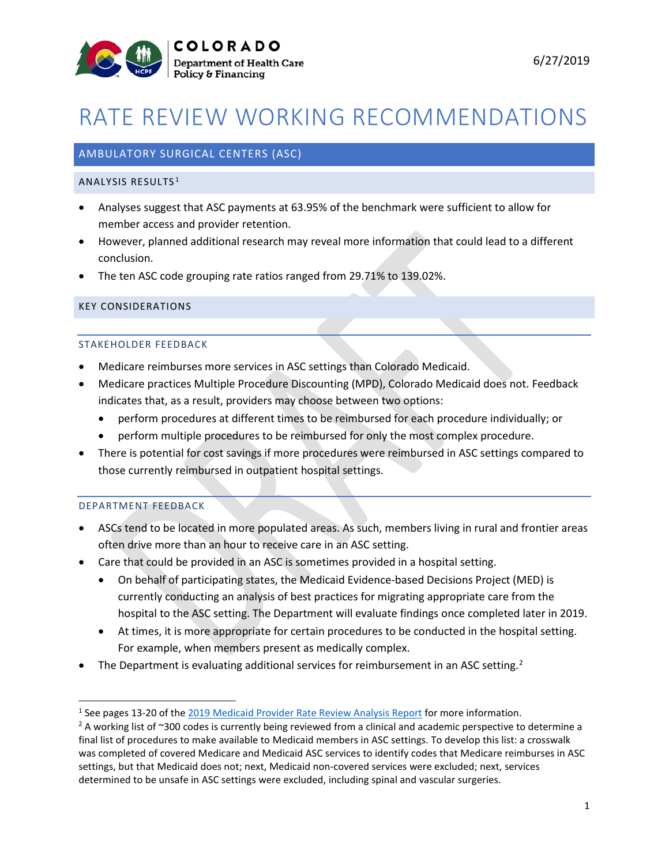

# RATE REVIEW WORKING RECOMMENDATIONS

# AMBULATORY SURGICAL CENTERS (ASC)

#### ANALYSIS RESULTS [1](#page-0-0)

- Analyses suggest that ASC payments at 63.95% of the benchmark were sufficient to allow for member access and provider retention.
- However, planned additional research may reveal more information that could lead to a different conclusion.
- The ten ASC code grouping rate ratios ranged from 29.71% to 139.02%.

#### KEY CONSIDERATIONS

#### STAKEHOLDER FEEDBACK

- Medicare reimburses more services in ASC settings than Colorado Medicaid.
- Medicare practices Multiple Procedure Discounting (MPD), Colorado Medicaid does not. Feedback indicates that, as a result, providers may choose between two options:
	- perform procedures at different times to be reimbursed for each procedure individually; or
	- perform multiple procedures to be reimbursed for only the most complex procedure.
- There is potential for cost savings if more procedures were reimbursed in ASC settings compared to those currently reimbursed in outpatient hospital settings.

#### DEPARTMENT FEEDBACK

- ASCs tend to be located in more populated areas. As such, members living in rural and frontier areas often drive more than an hour to receive care in an ASC setting.
- Care that could be provided in an ASC is sometimes provided in a hospital setting.
	- On behalf of participating states, the Medicaid Evidence-based Decisions Project (MED) is currently conducting an analysis of best practices for migrating appropriate care from the hospital to the ASC setting. The Department will evaluate findings once completed later in 2019.
	- At times, it is more appropriate for certain procedures to be conducted in the hospital setting. For example, when members present as medically complex.
- The Department is evaluating additional services for reimbursement in an ASC setting.<sup>[2](#page-0-1)</sup>

<span id="page-0-1"></span><span id="page-0-0"></span><sup>&</sup>lt;sup>1</sup> See pages 13-20 o[f](https://www.colorado.gov/pacific/sites/default/files/2019%20Medicaid%20Provider%20Rate%20Review%20Analysis%20Report-v2.pdf) the 2019 Medicaid Provider Rate Review Analysis Report for more information.<br><sup>2</sup> A working list of ~300 codes is currently being reviewed from a clinical and academic perspective to determine a final list of procedures to make available to Medicaid members in ASC settings. To develop this list: a crosswalk was completed of covered Medicare and Medicaid ASC services to identify codes that Medicare reimburses in ASC settings, but that Medicaid does not; next, Medicaid non-covered services were excluded; next, services determined to be unsafe in ASC settings were excluded, including spinal and vascular surgeries.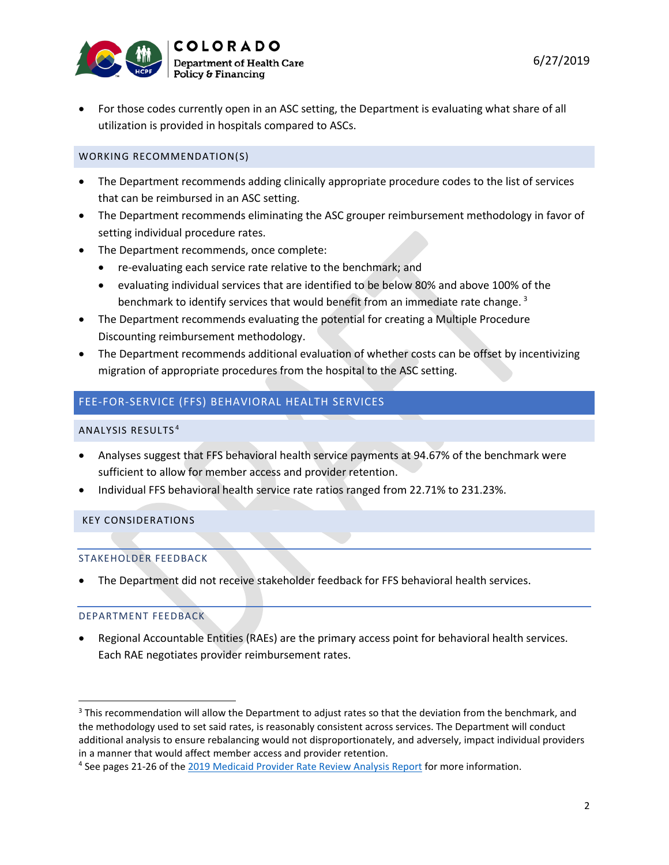

• For those codes currently open in an ASC setting, the Department is evaluating what share of all utilization is provided in hospitals compared to ASCs.

# WORKING RECOMMENDATION(S)

- The Department recommends adding clinically appropriate procedure codes to the list of services that can be reimbursed in an ASC setting.
- The Department recommends eliminating the ASC grouper reimbursement methodology in favor of setting individual procedure rates.
- The Department recommends, once complete:
	- re-evaluating each service rate relative to the benchmark; and
	- evaluating individual services that are identified to be below 80% and above 100% of the benchmark to identify services that would benefit from an immediate rate change.  $3$
- The Department recommends evaluating the potential for creating a Multiple Procedure Discounting reimbursement methodology.
- The Department recommends additional evaluation of whether costs can be offset by incentivizing migration of appropriate procedures from the hospital to the ASC setting.

# FEE-FOR-SERVICE (FFS) BEHAVIORAL HEALTH SERVICES

#### ANALYSIS RESULTS [4](#page-1-1)

- Analyses suggest that FFS behavioral health service payments at 94.67% of the benchmark were sufficient to allow for member access and provider retention.
- Individual FFS behavioral health service rate ratios ranged from 22.71% to 231.23%.

# KEY CONSIDERATIONS

#### STAKEHOLDER FEEDBACK

• The Department did not receive stakeholder feedback for FFS behavioral health services.

# DEPARTMENT FEEDBACK

• Regional Accountable Entities (RAEs) are the primary access point for behavioral health services. Each RAE negotiates provider reimbursement rates.

<span id="page-1-0"></span><sup>&</sup>lt;sup>3</sup> This recommendation will allow the Department to adjust rates so that the deviation from the benchmark, and the methodology used to set said rates, is reasonably consistent across services. The Department will conduct additional analysis to ensure rebalancing would not disproportionately, and adversely, impact individual providers in a manner that would affect member access and provider retention.

<span id="page-1-1"></span><sup>4</sup> See pages 21-26 of the [2019 Medicaid Provider Rate Review Analysis Report](https://www.colorado.gov/pacific/sites/default/files/2019%20Medicaid%20Provider%20Rate%20Review%20Analysis%20Report-v2.pdf) for more information.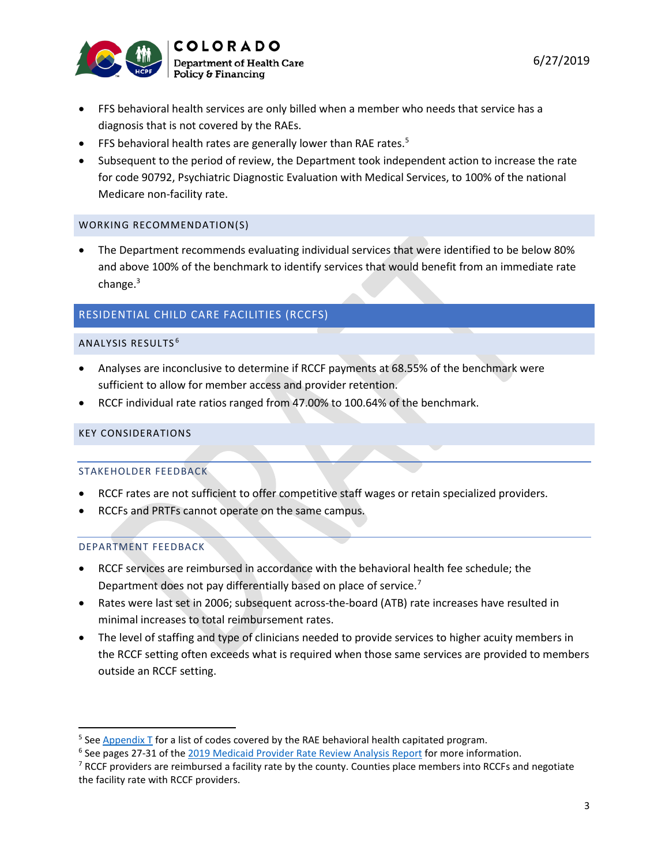

- FFS behavioral health services are only billed when a member who needs that service has a diagnosis that is not covered by the RAEs.
- FFS behavioral health rates are generally lower than RAE rates.<sup>[5](#page-2-0)</sup>
- Subsequent to the period of review, the Department took independent action to increase the rate for code 90792, Psychiatric Diagnostic Evaluation with Medical Services, to 100% of the national Medicare non-facility rate.

• The Department recommends evaluating individual services that were identified to be below 80% and above 100% of the benchmark to identify services that would benefit from an immediate rate change.<sup>3</sup>

# RESIDENTIAL CHILD CARE FACILITIES (RCCFS)

#### ANALYSIS RESULTS [6](#page-2-1)

- Analyses are inconclusive to determine if RCCF payments at 68.55% of the benchmark were sufficient to allow for member access and provider retention.
- RCCF individual rate ratios ranged from 47.00% to 100.64% of the benchmark.

## KEY CONSIDERATIONS

# STAKEHOLDER FEEDBACK

- RCCF rates are not sufficient to offer competitive staff wages or retain specialized providers.
- RCCFs and PRTFs cannot operate on the same campus.

# DEPARTMENT FEEDBACK

- RCCF services are reimbursed in accordance with the behavioral health fee schedule; the Department does not pay differentially based on place of service.<sup>[7](#page-2-2)</sup>
- Rates were last set in 2006; subsequent across-the-board (ATB) rate increases have resulted in minimal increases to total reimbursement rates.
- The level of staffing and type of clinicians needed to provide services to higher acuity members in the RCCF setting often exceeds what is required when those same services are provided to members outside an RCCF setting.

<span id="page-2-0"></span> $5$  See [Appendix T](https://www.colorado.gov/pacific/sites/default/files/Appendix%20T-CMH%20Serv%20Prog%20v1_0.pdf) for a list of codes covered by the RAE behavioral health capitated program.

<span id="page-2-1"></span><sup>6</sup> See pages 27-31 of the [2019 Medicaid Provider Rate Review Analysis Report](https://www.colorado.gov/pacific/sites/default/files/2019%20Medicaid%20Provider%20Rate%20Review%20Analysis%20Report-v2.pdf) for more information.

<span id="page-2-2"></span><sup>&</sup>lt;sup>7</sup> RCCF providers are reimbursed a facility rate by the county. Counties place members into RCCFs and negotiate the facility rate with RCCF providers.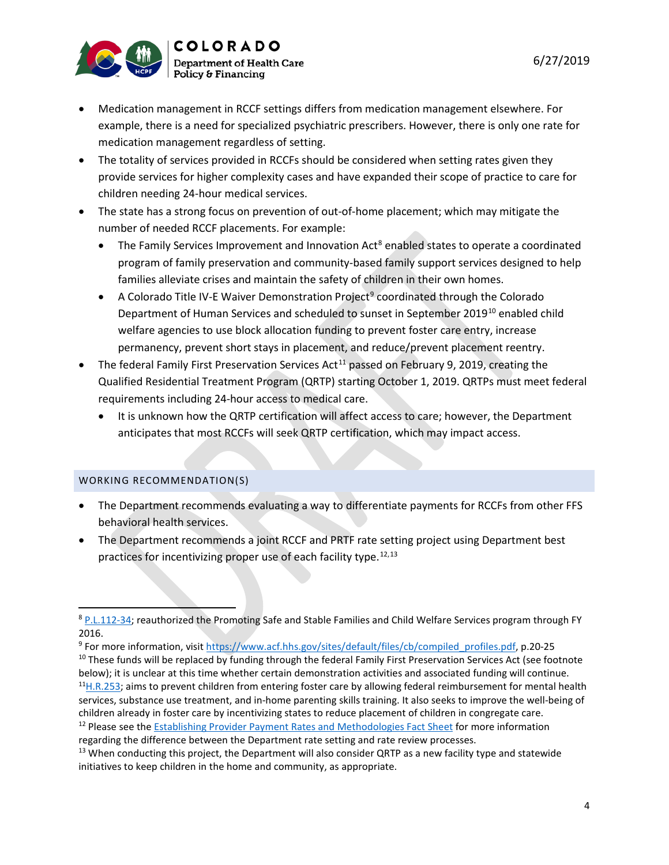

- Medication management in RCCF settings differs from medication management elsewhere. For example, there is a need for specialized psychiatric prescribers. However, there is only one rate for medication management regardless of setting.
- The totality of services provided in RCCFs should be considered when setting rates given they provide services for higher complexity cases and have expanded their scope of practice to care for children needing 24-hour medical services.
- The state has a strong focus on prevention of out-of-home placement; which may mitigate the number of needed RCCF placements. For example:
	- The Family Services Improvement and Innovation  $Act^8$  $Act^8$  enabled states to operate a coordinated program of family preservation and community-based family support services designed to help families alleviate crises and maintain the safety of children in their own homes.
	- A Colorado Title IV-E Waiver Demonstration Project<sup>[9](#page-3-1)</sup> coordinated through the Colorado Department of Human Services and scheduled to sunset in September 2019<sup>[10](#page-3-2)</sup> enabled child welfare agencies to use block allocation funding to prevent foster care entry, increase permanency, prevent short stays in placement, and reduce/prevent placement reentry.
- The federal Family First Preservation Services Act<sup>[11](#page-3-3)</sup> passed on February 9, 2019, creating the Qualified Residential Treatment Program (QRTP) starting October 1, 2019. QRTPs must meet federal requirements including 24-hour access to medical care.
	- It is unknown how the QRTP certification will affect access to care; however, the Department anticipates that most RCCFs will seek QRTP certification, which may impact access.

- The Department recommends evaluating a way to differentiate payments for RCCFs from other FFS behavioral health services.
- The Department recommends a joint RCCF and PRTF rate setting project using Department best practices for incentivizing proper use of each facility type.<sup>[12,](#page-3-4)[13](#page-3-5)</sup>

6/27/2019

<span id="page-3-0"></span><sup>&</sup>lt;sup>8</sup> [P.L.112-34;](https://www.congress.gov/112/plaws/publ34/PLAW-112publ34.pdf) reauthorized the Promoting Safe and Stable Families and Child Welfare Services program through FY 2016.

<span id="page-3-1"></span><sup>9</sup> For more information, visit [https://www.acf.hhs.gov/sites/default/files/cb/compiled\\_profiles.pdf,](https://www.acf.hhs.gov/sites/default/files/cb/compiled_profiles.pdf) p.20-25

<span id="page-3-3"></span><span id="page-3-2"></span><sup>&</sup>lt;sup>10</sup> These funds will be replaced by funding through the federal Family First Preservation Services Act (see footnote below); it is unclear at this time whether certain demonstration activities and associated funding will continue.  $<sup>11</sup>H.R.253$ ; aims to prevent children from entering foster care by allowing federal reimbursement for mental health</sup> services, substance use treatment, and in-home parenting skills training. It also seeks to improve the well-being of children already in foster care by incentivizing states to reduce placement of children in congregate care. <sup>12</sup> Please see the **Establishing Provider Payment Rates and Methodologies Fact Sheet for more information** 

<span id="page-3-4"></span>regarding the difference between the Department rate setting and rate review processes.

<span id="page-3-5"></span> $13$  When conducting this project, the Department will also consider QRTP as a new facility type and statewide initiatives to keep children in the home and community, as appropriate.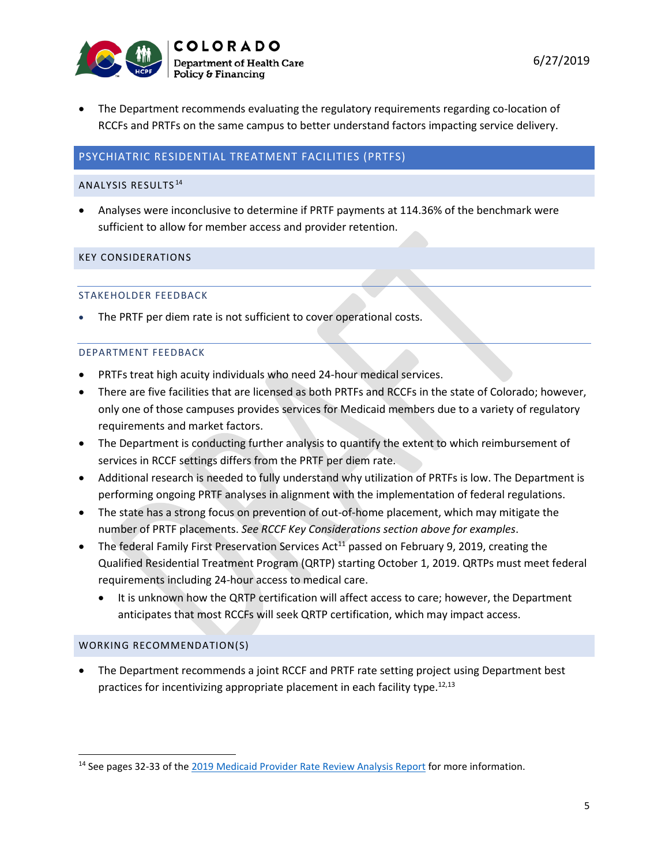

• The Department recommends evaluating the regulatory requirements regarding co-location of RCCFs and PRTFs on the same campus to better understand factors impacting service delivery.

# PSYCHIATRIC RESIDENTIAL TREATMENT FACILITIES (PRTFS)

#### ANALYSIS RESULTS [14](#page-4-0)

• Analyses were inconclusive to determine if PRTF payments at 114.36% of the benchmark were sufficient to allow for member access and provider retention.

#### KEY CONSIDERATIONS

#### STAKEHOLDER FEEDBACK

The PRTF per diem rate is not sufficient to cover operational costs.

#### DEPARTMENT FEEDBACK

- PRTFs treat high acuity individuals who need 24-hour medical services.
- There are five facilities that are licensed as both PRTFs and RCCFs in the state of Colorado; however, only one of those campuses provides services for Medicaid members due to a variety of regulatory requirements and market factors.
- The Department is conducting further analysis to quantify the extent to which reimbursement of services in RCCF settings differs from the PRTF per diem rate.
- Additional research is needed to fully understand why utilization of PRTFs is low. The Department is performing ongoing PRTF analyses in alignment with the implementation of federal regulations.
- The state has a strong focus on prevention of out-of-home placement, which may mitigate the number of PRTF placements. *See RCCF Key Considerations section above for examples*.
- The federal Family First Preservation Services Act<sup>11</sup> passed on February 9, 2019, creating the Qualified Residential Treatment Program (QRTP) starting October 1, 2019. QRTPs must meet federal requirements including 24-hour access to medical care.
	- It is unknown how the QRTP certification will affect access to care; however, the Department anticipates that most RCCFs will seek QRTP certification, which may impact access.

# WORKING RECOMMENDATION(S)

• The Department recommends a joint RCCF and PRTF rate setting project using Department best practices for incentivizing appropriate placement in each facility type.<sup>12,13</sup>

<span id="page-4-0"></span><sup>&</sup>lt;sup>14</sup> See pages 32-33 of th[e 2019 Medicaid Provider Rate Review Analysis Report](https://www.colorado.gov/pacific/sites/default/files/2019%20Medicaid%20Provider%20Rate%20Review%20Analysis%20Report-v2.pdf) for more information.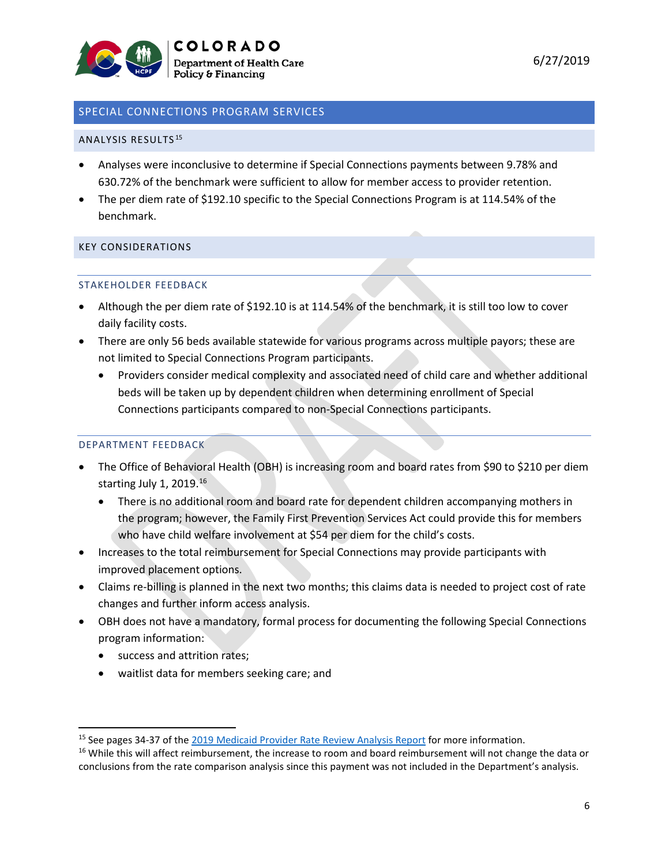

# SPECIAL CONNECTIONS PROGRAM SERVICES

## ANALYSIS RESULTS [15](#page-5-0)

- Analyses were inconclusive to determine if Special Connections payments between 9.78% and 630.72% of the benchmark were sufficient to allow for member access to provider retention.
- The per diem rate of \$192.10 specific to the Special Connections Program is at 114.54% of the benchmark.

# KEY CONSIDERATIONS

#### STAKEHOLDER FEEDBACK

- Although the per diem rate of \$192.10 is at 114.54% of the benchmark, it is still too low to cover daily facility costs.
- There are only 56 beds available statewide for various programs across multiple payors; these are not limited to Special Connections Program participants.
	- Providers consider medical complexity and associated need of child care and whether additional beds will be taken up by dependent children when determining enrollment of Special Connections participants compared to non-Special Connections participants.

# DEPARTMENT FEEDBACK

- The Office of Behavioral Health (OBH) is increasing room and board rates from \$90 to \$210 per diem starting July 1, 2019.<sup>[16](#page-5-1)</sup>
	- There is no additional room and board rate for dependent children accompanying mothers in the program; however, the Family First Prevention Services Act could provide this for members who have child welfare involvement at \$54 per diem for the child's costs.
- Increases to the total reimbursement for Special Connections may provide participants with improved placement options.
- Claims re-billing is planned in the next two months; this claims data is needed to project cost of rate changes and further inform access analysis.
- OBH does not have a mandatory, formal process for documenting the following Special Connections program information:
	- success and attrition rates;
	- waitlist data for members seeking care; and

<span id="page-5-0"></span><sup>&</sup>lt;sup>15</sup> See pages 34-37 of th[e 2019 Medicaid Provider Rate Review Analysis Report](https://www.colorado.gov/pacific/sites/default/files/2019%20Medicaid%20Provider%20Rate%20Review%20Analysis%20Report-v2.pdf) for more information.

<span id="page-5-1"></span><sup>&</sup>lt;sup>16</sup> While this will affect reimbursement, the increase to room and board reimbursement will not change the data or conclusions from the rate comparison analysis since this payment was not included in the Department's analysis.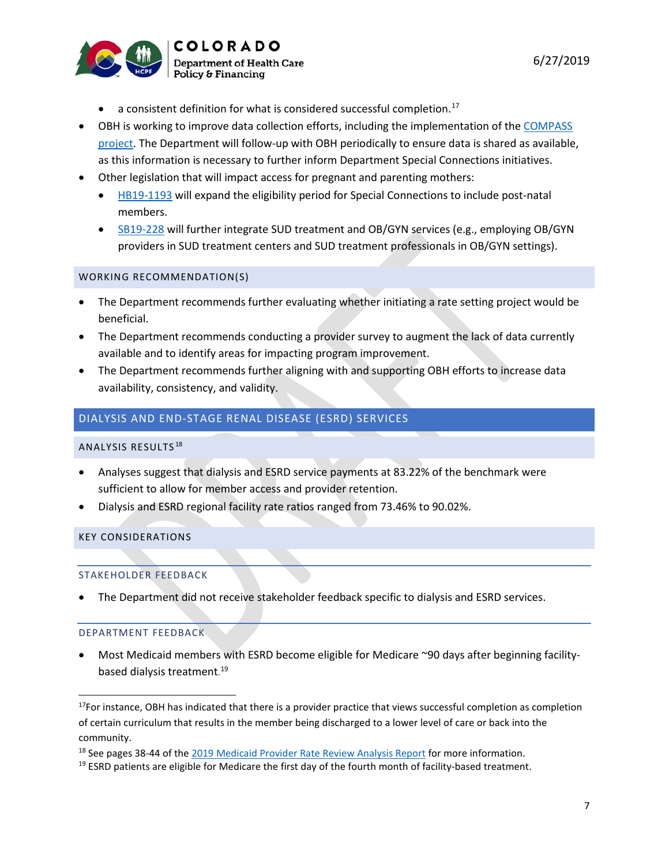

- $\bullet$  a consistent definition for what is considered successful completion.<sup>[17](#page-6-0)</sup>
- OBH is working to improve data collection efforts, including the implementation of the [COMPASS](https://www.colorado.gov/pacific/cdhs/colorado-compass)  [project.](https://www.colorado.gov/pacific/cdhs/colorado-compass) The Department will follow-up with OBH periodically to ensure data is shared as available, as this information is necessary to further inform Department Special Connections initiatives.
- Other legislation that will impact access for pregnant and parenting mothers:
	- [HB19-1193](https://leg.colorado.gov/bills/hb19-1193) will expand the eligibility period for Special Connections to include post-natal members.
	- [SB19-228](https://leg.colorado.gov/bills/sb19-228) will further integrate SUD treatment and OB/GYN services (e.g., employing OB/GYN providers in SUD treatment centers and SUD treatment professionals in OB/GYN settings).

- The Department recommends further evaluating whether initiating a rate setting project would be beneficial.
- The Department recommends conducting a provider survey to augment the lack of data currently available and to identify areas for impacting program improvement.
- The Department recommends further aligning with and supporting OBH efforts to increase data availability, consistency, and validity.

# DIALYSIS AND END-STAGE RENAL DISEASE (ESRD) SERVICES

#### ANALYSIS RESULTS [18](#page-6-1)

- Analyses suggest that dialysis and ESRD service payments at 83.22% of the benchmark were sufficient to allow for member access and provider retention.
- Dialysis and ESRD regional facility rate ratios ranged from 73.46% to 90.02%.

# KEY CONSIDERATIONS

#### STAKEHOLDER FEEDBACK

• The Department did not receive stakeholder feedback specific to dialysis and ESRD services.

#### DEPARTMENT FEEDBACK

• Most Medicaid members with ESRD become eligible for Medicare ~90 days after beginning facilitybased dialysis treatment. [19](#page-6-2)

<span id="page-6-0"></span> $17$ For instance, OBH has indicated that there is a provider practice that views successful completion as completion of certain curriculum that results in the member being discharged to a lower level of care or back into the community.

<span id="page-6-1"></span><sup>&</sup>lt;sup>18</sup> See pages 38-44 of th[e 2019 Medicaid Provider Rate Review Analysis Report](https://www.colorado.gov/pacific/sites/default/files/2019%20Medicaid%20Provider%20Rate%20Review%20Analysis%20Report-v2.pdf) for more information.

<span id="page-6-2"></span> $19$  ESRD patients are eligible for Medicare the first day of the fourth month of facility-based treatment.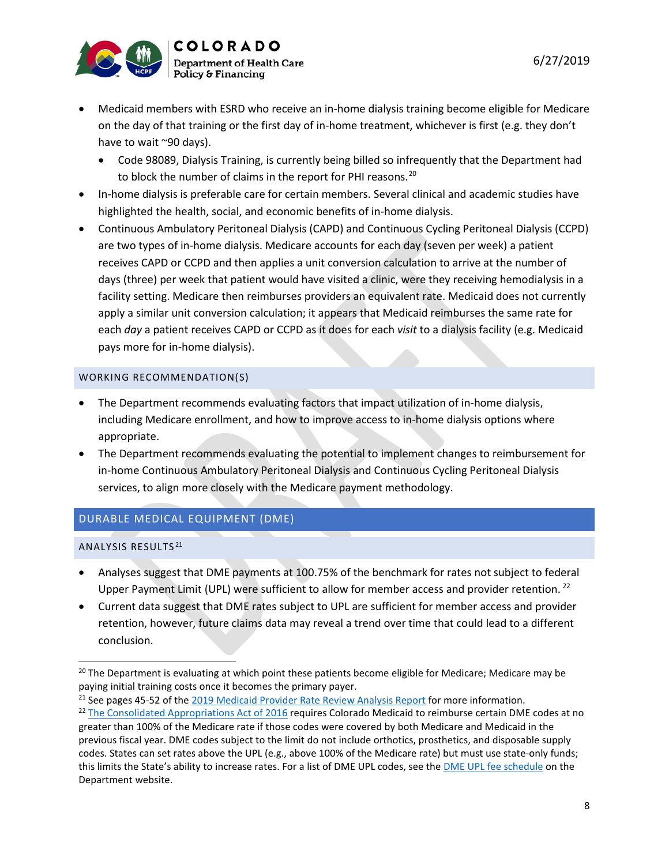

- Medicaid members with ESRD who receive an in-home dialysis training become eligible for Medicare on the day of that training or the first day of in-home treatment, whichever is first (e.g. they don't have to wait ~90 days).
	- Code 98089, Dialysis Training, is currently being billed so infrequently that the Department had to block the number of claims in the report for PHI reasons.<sup>[20](#page-7-0)</sup>
- In-home dialysis is preferable care for certain members. Several clinical and academic studies have highlighted the health, social, and economic benefits of in-home dialysis.
- Continuous Ambulatory Peritoneal Dialysis (CAPD) and Continuous Cycling Peritoneal Dialysis (CCPD) are two types of in-home dialysis. Medicare accounts for each day (seven per week) a patient receives CAPD or CCPD and then applies a unit conversion calculation to arrive at the number of days (three) per week that patient would have visited a clinic, were they receiving hemodialysis in a facility setting. Medicare then reimburses providers an equivalent rate. Medicaid does not currently apply a similar unit conversion calculation; it appears that Medicaid reimburses the same rate for each *day* a patient receives CAPD or CCPD as it does for each *visit* to a dialysis facility (e.g. Medicaid pays more for in-home dialysis).

- The Department recommends evaluating factors that impact utilization of in-home dialysis, including Medicare enrollment, and how to improve access to in-home dialysis options where appropriate.
- The Department recommends evaluating the potential to implement changes to reimbursement for in-home Continuous Ambulatory Peritoneal Dialysis and Continuous Cycling Peritoneal Dialysis services, to align more closely with the Medicare payment methodology.

# DURABLE MEDICAL EQUIPMENT (DME)

ANALYSIS RESULTS [21](#page-7-1)

- Analyses suggest that DME payments at 100.75% of the benchmark for rates not subject to federal Upper Payment Limit (UPL) were sufficient to allow for member access and provider retention. <sup>[22](#page-7-2)</sup>
- Current data suggest that DME rates subject to UPL are sufficient for member access and provider retention, however, future claims data may reveal a trend over time that could lead to a different conclusion.

6/27/2019

<span id="page-7-0"></span><sup>&</sup>lt;sup>20</sup> The Department is evaluating at which point these patients become eligible for Medicare; Medicare may be paying initial training costs once it becomes the primary payer.

<span id="page-7-1"></span><sup>&</sup>lt;sup>21</sup> See pages 45-52 of th[e 2019 Medicaid Provider Rate Review Analysis Report](https://www.colorado.gov/pacific/sites/default/files/2019%20Medicaid%20Provider%20Rate%20Review%20Analysis%20Report-v2.pdf) for more information.

<span id="page-7-2"></span><sup>&</sup>lt;sup>22</sup> [The Consolidated Appropriations Act of 2016](https://www.congress.gov/bill/114th-congress/house-bill/2029/text) requires Colorado Medicaid to reimburse certain DME codes at no greater than 100% of the Medicare rate if those codes were covered by both Medicare and Medicaid in the previous fiscal year. DME codes subject to the limit do not include orthotics, prosthetics, and disposable supply codes. States can set rates above the UPL (e.g., above 100% of the Medicare rate) but must use state-only funds; this limits the State's ability to increase rates. For a list of DME UPL codes, see the [DME UPL fee schedule](https://www.colorado.gov/pacific/hcpf/provider-rates-fee-schedule) on the Department website.